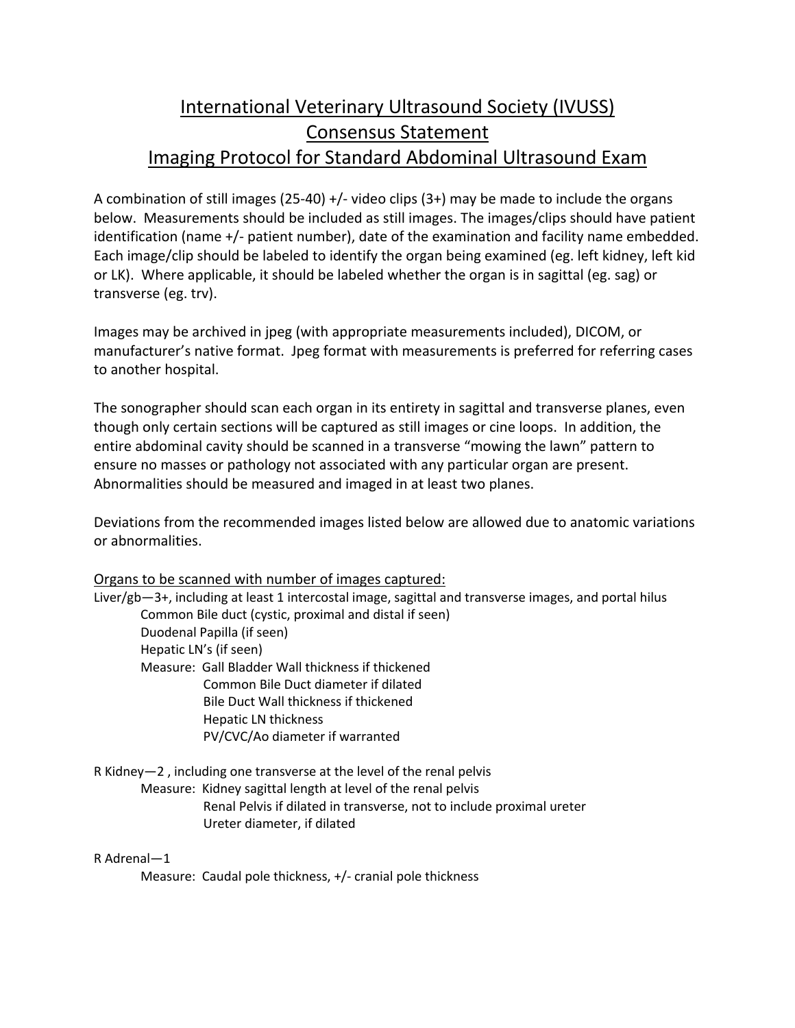# International Veterinary Ultrasound Society (IVUSS) Consensus Statement Imaging Protocol for Standard Abdominal Ultrasound Exam

A combination of still images  $(25-40) +/-$  video clips  $(3+)$  may be made to include the organs below. Measurements should be included as still images. The images/clips should have patient identification (name +/- patient number), date of the examination and facility name embedded. Each image/clip should be labeled to identify the organ being examined (eg. left kidney, left kid or LK). Where applicable, it should be labeled whether the organ is in sagittal (eg. sag) or transverse (eg. trv).

Images may be archived in jpeg (with appropriate measurements included), DICOM, or manufacturer's native format. Jpeg format with measurements is preferred for referring cases to another hospital.

The sonographer should scan each organ in its entirety in sagittal and transverse planes, even though only certain sections will be captured as still images or cine loops. In addition, the entire abdominal cavity should be scanned in a transverse "mowing the lawn" pattern to ensure no masses or pathology not associated with any particular organ are present. Abnormalities should be measured and imaged in at least two planes.

Deviations from the recommended images listed below are allowed due to anatomic variations or abnormalities.

# Organs to be scanned with number of images captured:

Liver/gb—3+, including at least 1 intercostal image, sagittal and transverse images, and portal hilus Common Bile duct (cystic, proximal and distal if seen) Duodenal Papilla (if seen) Hepatic LN's (if seen) Measure: Gall Bladder Wall thickness if thickened Common Bile Duct diameter if dilated Bile Duct Wall thickness if thickened Hepatic LN thickness PV/CVC/Ao diameter if warranted

R Kidney—2 , including one transverse at the level of the renal pelvis Measure: Kidney sagittal length at level of the renal pelvis Renal Pelvis if dilated in transverse, not to include proximal ureter Ureter diameter, if dilated

# R Adrenal—1

Measure: Caudal pole thickness, +/- cranial pole thickness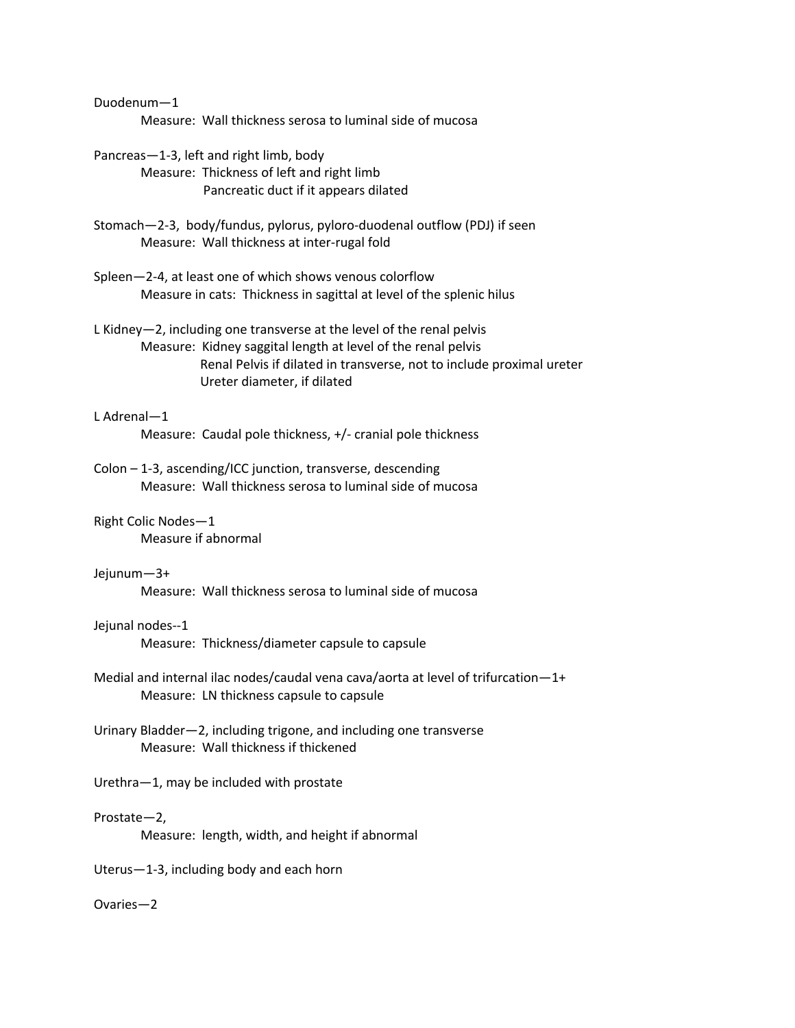Duodenum—1

Measure: Wall thickness serosa to luminal side of mucosa

- Pancreas—1-3, left and right limb, body Measure: Thickness of left and right limb Pancreatic duct if it appears dilated
- Stomach—2-3, body/fundus, pylorus, pyloro-duodenal outflow (PDJ) if seen Measure: Wall thickness at inter-rugal fold
- Spleen—2-4, at least one of which shows venous colorflow Measure in cats: Thickness in sagittal at level of the splenic hilus
- L Kidney—2, including one transverse at the level of the renal pelvis Measure: Kidney saggital length at level of the renal pelvis Renal Pelvis if dilated in transverse, not to include proximal ureter Ureter diameter, if dilated

# L Adrenal—1

Measure: Caudal pole thickness, +/- cranial pole thickness

- Colon 1-3, ascending/ICC junction, transverse, descending Measure: Wall thickness serosa to luminal side of mucosa
- Right Colic Nodes—1 Measure if abnormal

# Jejunum—3+

Measure: Wall thickness serosa to luminal side of mucosa

# Jejunal nodes--1

Measure: Thickness/diameter capsule to capsule

- Medial and internal ilac nodes/caudal vena cava/aorta at level of trifurcation—1+ Measure: LN thickness capsule to capsule
- Urinary Bladder—2, including trigone, and including one transverse Measure: Wall thickness if thickened

# Urethra—1, may be included with prostate

# Prostate—2,

Measure: length, width, and height if abnormal

Uterus—1-3, including body and each horn

# Ovaries—2